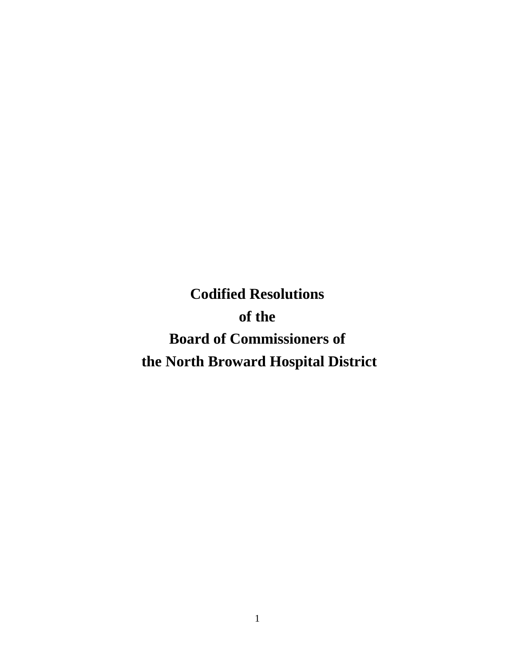**Codified Resolutions of the Board of Commissioners of the North Broward Hospital District**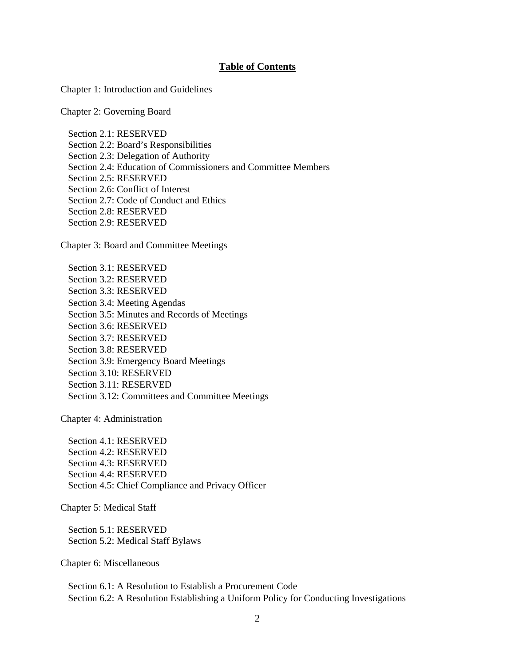#### **Table of Contents**

Chapter 1: Introduction and Guidelines

Chapter 2: Governing Board

Section 2.1: RESERVED Section 2.2: Board's Responsibilities Section 2.3: Delegation of Authority Section 2.4: Education of Commissioners and Committee Members Section 2.5: RESERVED Section 2.6: Conflict of Interest Section 2.7: Code of Conduct and Ethics Section 2.8: RESERVED Section 2.9: RESERVED

Chapter 3: Board and Committee Meetings

Section 3.1: RESERVED Section 3.2: RESERVED Section 3.3: RESERVED Section 3.4: Meeting Agendas Section 3.5: Minutes and Records of Meetings Section 3.6: RESERVED Section 3.7: RESERVED Section 3.8: RESERVED Section 3.9: Emergency Board Meetings Section 3.10: RESERVED Section 3.11: RESERVED Section 3.12: Committees and Committee Meetings

Chapter 4: Administration

Section 4.1: RESERVED Section 4.2: RESERVED Section 4.3: RESERVED Section 4.4: RESERVED Section 4.5: Chief Compliance and Privacy Officer

Chapter 5: Medical Staff

Section 5.1: RESERVED Section 5.2: Medical Staff Bylaws

Chapter 6: Miscellaneous

Section 6.1: A Resolution to Establish a Procurement Code Section 6.2: A Resolution Establishing a Uniform Policy for Conducting Investigations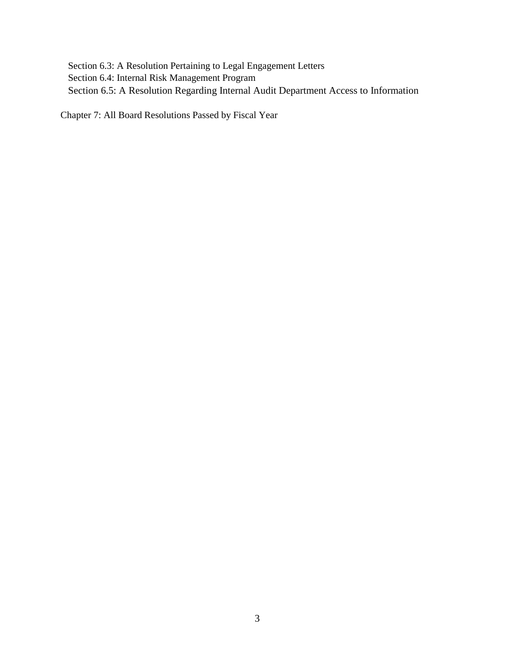Section 6.3: A Resolution Pertaining to Legal Engagement Letters Section 6.4: Internal Risk Management Program Section 6.5: A Resolution Regarding Internal Audit Department Access to Information

Chapter 7: All Board Resolutions Passed by Fiscal Year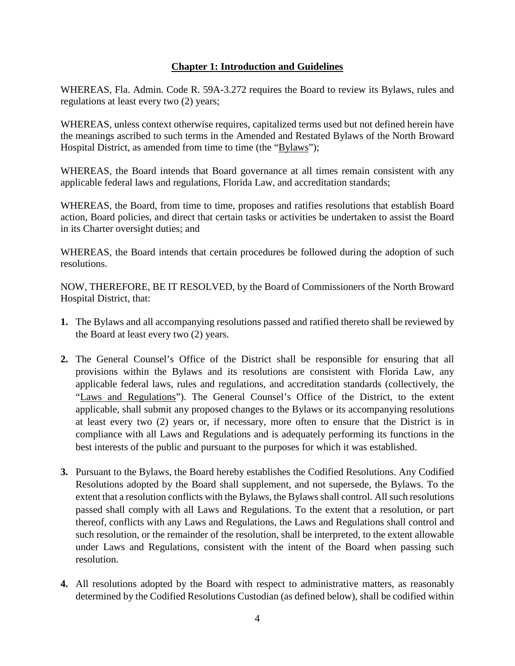# **Chapter 1: Introduction and Guidelines**

WHEREAS, Fla. Admin. Code R. 59A-3.272 requires the Board to review its Bylaws, rules and regulations at least every two (2) years;

WHEREAS, unless context otherwise requires, capitalized terms used but not defined herein have the meanings ascribed to such terms in the Amended and Restated Bylaws of the North Broward Hospital District, as amended from time to time (the "Bylaws");

WHEREAS, the Board intends that Board governance at all times remain consistent with any applicable federal laws and regulations, Florida Law, and accreditation standards;

WHEREAS, the Board, from time to time, proposes and ratifies resolutions that establish Board action, Board policies, and direct that certain tasks or activities be undertaken to assist the Board in its Charter oversight duties; and

WHEREAS, the Board intends that certain procedures be followed during the adoption of such resolutions.

- **1.** The Bylaws and all accompanying resolutions passed and ratified thereto shall be reviewed by the Board at least every two (2) years.
- **2.** The General Counsel's Office of the District shall be responsible for ensuring that all provisions within the Bylaws and its resolutions are consistent with Florida Law, any applicable federal laws, rules and regulations, and accreditation standards (collectively, the "Laws and Regulations"). The General Counsel's Office of the District, to the extent applicable, shall submit any proposed changes to the Bylaws or its accompanying resolutions at least every two (2) years or, if necessary, more often to ensure that the District is in compliance with all Laws and Regulations and is adequately performing its functions in the best interests of the public and pursuant to the purposes for which it was established.
- **3.** Pursuant to the Bylaws, the Board hereby establishes the Codified Resolutions. Any Codified Resolutions adopted by the Board shall supplement, and not supersede, the Bylaws. To the extent that a resolution conflicts with the Bylaws, the Bylaws shall control. All such resolutions passed shall comply with all Laws and Regulations. To the extent that a resolution, or part thereof, conflicts with any Laws and Regulations, the Laws and Regulations shall control and such resolution, or the remainder of the resolution, shall be interpreted, to the extent allowable under Laws and Regulations, consistent with the intent of the Board when passing such resolution.
- **4.** All resolutions adopted by the Board with respect to administrative matters, as reasonably determined by the Codified Resolutions Custodian (as defined below), shall be codified within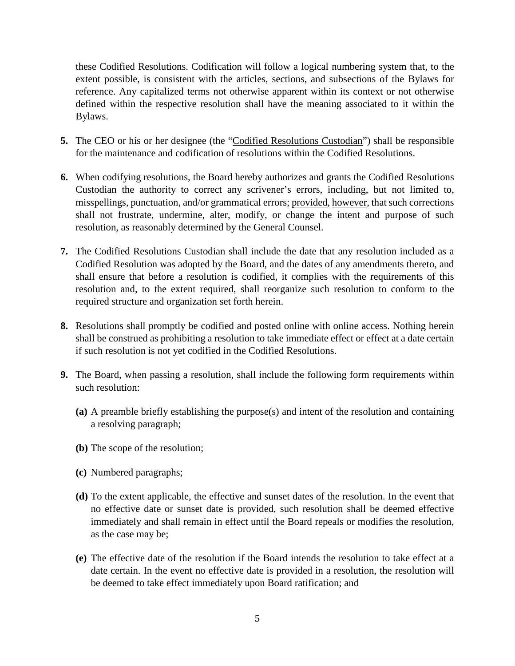these Codified Resolutions. Codification will follow a logical numbering system that, to the extent possible, is consistent with the articles, sections, and subsections of the Bylaws for reference. Any capitalized terms not otherwise apparent within its context or not otherwise defined within the respective resolution shall have the meaning associated to it within the Bylaws.

- **5.** The CEO or his or her designee (the "Codified Resolutions Custodian") shall be responsible for the maintenance and codification of resolutions within the Codified Resolutions.
- **6.** When codifying resolutions, the Board hereby authorizes and grants the Codified Resolutions Custodian the authority to correct any scrivener's errors, including, but not limited to, misspellings, punctuation, and/or grammatical errors; provided, however, that such corrections shall not frustrate, undermine, alter, modify, or change the intent and purpose of such resolution, as reasonably determined by the General Counsel.
- **7.** The Codified Resolutions Custodian shall include the date that any resolution included as a Codified Resolution was adopted by the Board, and the dates of any amendments thereto, and shall ensure that before a resolution is codified, it complies with the requirements of this resolution and, to the extent required, shall reorganize such resolution to conform to the required structure and organization set forth herein.
- **8.** Resolutions shall promptly be codified and posted online with online access. Nothing herein shall be construed as prohibiting a resolution to take immediate effect or effect at a date certain if such resolution is not yet codified in the Codified Resolutions.
- **9.** The Board, when passing a resolution, shall include the following form requirements within such resolution:
	- **(a)** A preamble briefly establishing the purpose(s) and intent of the resolution and containing a resolving paragraph;
	- **(b)** The scope of the resolution;
	- **(c)** Numbered paragraphs;
	- **(d)** To the extent applicable, the effective and sunset dates of the resolution. In the event that no effective date or sunset date is provided, such resolution shall be deemed effective immediately and shall remain in effect until the Board repeals or modifies the resolution, as the case may be;
	- **(e)** The effective date of the resolution if the Board intends the resolution to take effect at a date certain. In the event no effective date is provided in a resolution, the resolution will be deemed to take effect immediately upon Board ratification; and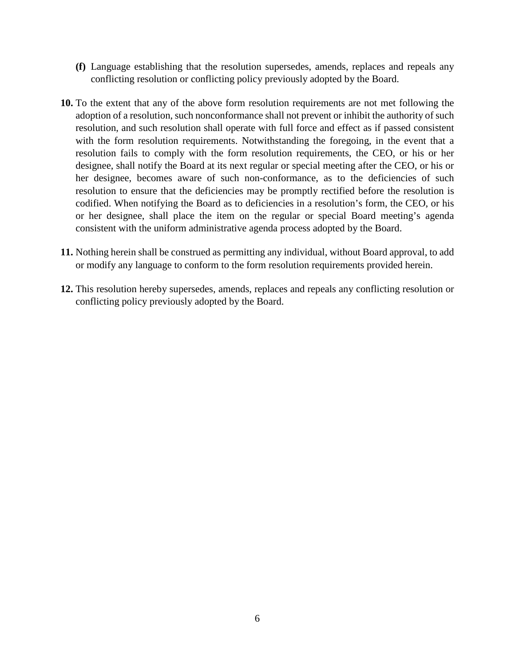- **(f)** Language establishing that the resolution supersedes, amends, replaces and repeals any conflicting resolution or conflicting policy previously adopted by the Board.
- **10.** To the extent that any of the above form resolution requirements are not met following the adoption of a resolution, such nonconformance shall not prevent or inhibit the authority of such resolution, and such resolution shall operate with full force and effect as if passed consistent with the form resolution requirements. Notwithstanding the foregoing, in the event that a resolution fails to comply with the form resolution requirements, the CEO, or his or her designee, shall notify the Board at its next regular or special meeting after the CEO, or his or her designee, becomes aware of such non-conformance, as to the deficiencies of such resolution to ensure that the deficiencies may be promptly rectified before the resolution is codified. When notifying the Board as to deficiencies in a resolution's form, the CEO, or his or her designee, shall place the item on the regular or special Board meeting's agenda consistent with the uniform administrative agenda process adopted by the Board.
- **11.** Nothing herein shall be construed as permitting any individual, without Board approval, to add or modify any language to conform to the form resolution requirements provided herein.
- **12.** This resolution hereby supersedes, amends, replaces and repeals any conflicting resolution or conflicting policy previously adopted by the Board.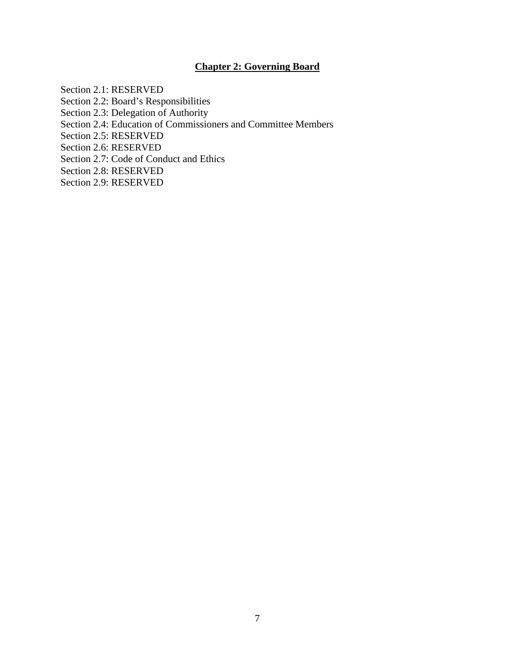# **Chapter 2: Governing Board**

Section 2.1: RESERVED Section 2.2: Board's Responsibilities Section 2.3: Delegation of Authority Section 2.4: Education of Commissioners and Committee Members Section 2.5: RESERVED Section 2.6: RESERVED Section 2.7: Code of Conduct and Ethics Section 2.8: RESERVED Section 2.9: RESERVED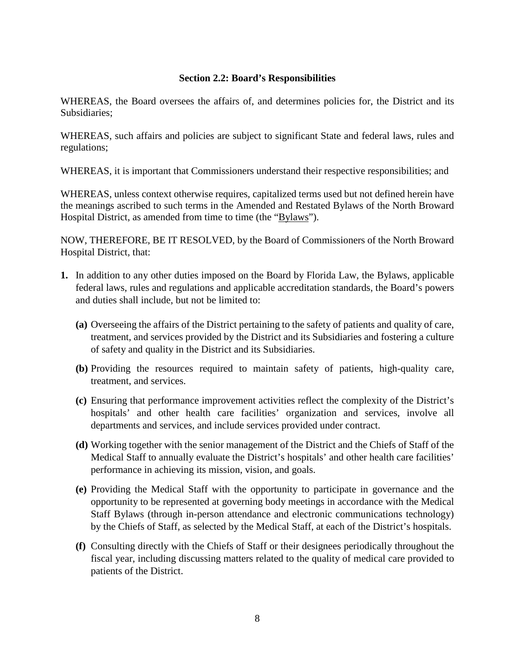# **Section 2.2: Board's Responsibilities**

WHEREAS, the Board oversees the affairs of, and determines policies for, the District and its Subsidiaries;

WHEREAS, such affairs and policies are subject to significant State and federal laws, rules and regulations;

WHEREAS, it is important that Commissioners understand their respective responsibilities; and

WHEREAS, unless context otherwise requires, capitalized terms used but not defined herein have the meanings ascribed to such terms in the Amended and Restated Bylaws of the North Broward Hospital District, as amended from time to time (the "Bylaws").

- **1.** In addition to any other duties imposed on the Board by Florida Law, the Bylaws, applicable federal laws, rules and regulations and applicable accreditation standards, the Board's powers and duties shall include, but not be limited to:
	- **(a)** Overseeing the affairs of the District pertaining to the safety of patients and quality of care, treatment, and services provided by the District and its Subsidiaries and fostering a culture of safety and quality in the District and its Subsidiaries.
	- **(b)** Providing the resources required to maintain safety of patients, high-quality care, treatment, and services.
	- **(c)** Ensuring that performance improvement activities reflect the complexity of the District's hospitals' and other health care facilities' organization and services, involve all departments and services, and include services provided under contract.
	- **(d)** Working together with the senior management of the District and the Chiefs of Staff of the Medical Staff to annually evaluate the District's hospitals' and other health care facilities' performance in achieving its mission, vision, and goals.
	- **(e)** Providing the Medical Staff with the opportunity to participate in governance and the opportunity to be represented at governing body meetings in accordance with the Medical Staff Bylaws (through in-person attendance and electronic communications technology) by the Chiefs of Staff, as selected by the Medical Staff, at each of the District's hospitals.
	- **(f)** Consulting directly with the Chiefs of Staff or their designees periodically throughout the fiscal year, including discussing matters related to the quality of medical care provided to patients of the District.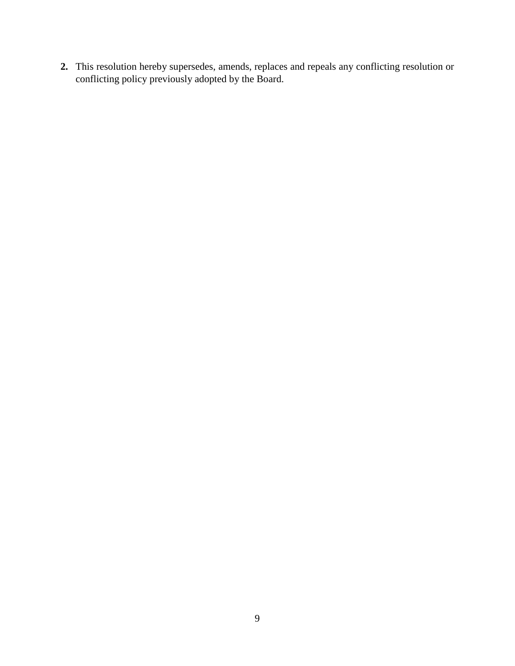**2.** This resolution hereby supersedes, amends, replaces and repeals any conflicting resolution or conflicting policy previously adopted by the Board.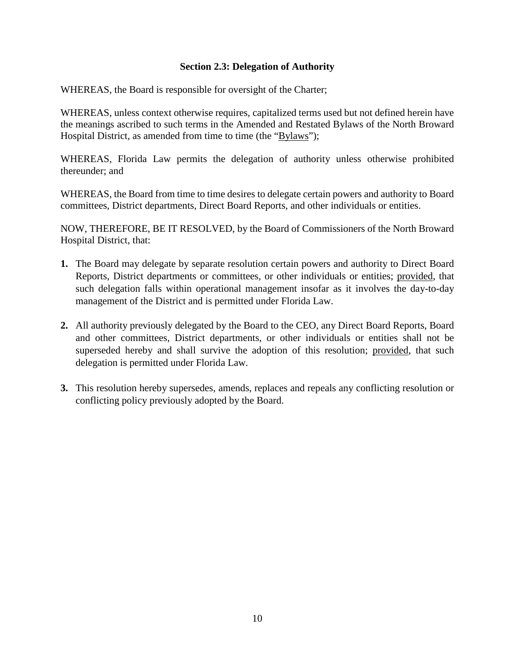# **Section 2.3: Delegation of Authority**

WHEREAS, the Board is responsible for oversight of the Charter;

WHEREAS, unless context otherwise requires, capitalized terms used but not defined herein have the meanings ascribed to such terms in the Amended and Restated Bylaws of the North Broward Hospital District, as amended from time to time (the "Bylaws");

WHEREAS, Florida Law permits the delegation of authority unless otherwise prohibited thereunder; and

WHEREAS, the Board from time to time desires to delegate certain powers and authority to Board committees, District departments, Direct Board Reports, and other individuals or entities.

- **1.** The Board may delegate by separate resolution certain powers and authority to Direct Board Reports, District departments or committees, or other individuals or entities; provided, that such delegation falls within operational management insofar as it involves the day-to-day management of the District and is permitted under Florida Law.
- **2.** All authority previously delegated by the Board to the CEO, any Direct Board Reports, Board and other committees, District departments, or other individuals or entities shall not be superseded hereby and shall survive the adoption of this resolution; provided, that such delegation is permitted under Florida Law.
- **3.** This resolution hereby supersedes, amends, replaces and repeals any conflicting resolution or conflicting policy previously adopted by the Board.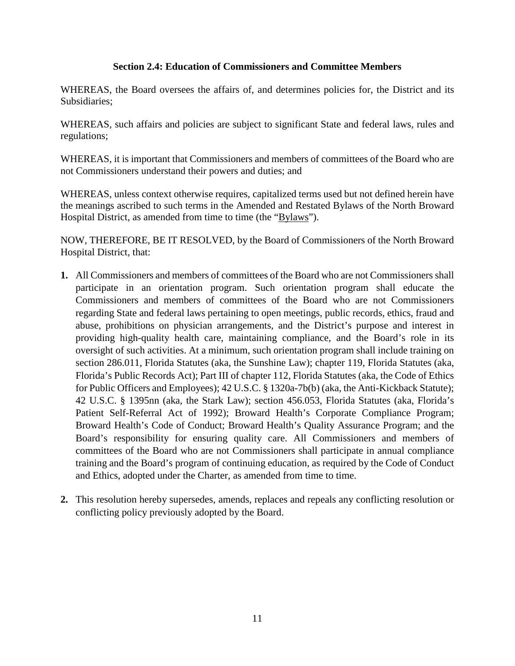# **Section 2.4: Education of Commissioners and Committee Members**

WHEREAS, the Board oversees the affairs of, and determines policies for, the District and its Subsidiaries;

WHEREAS, such affairs and policies are subject to significant State and federal laws, rules and regulations;

WHEREAS, it is important that Commissioners and members of committees of the Board who are not Commissioners understand their powers and duties; and

WHEREAS, unless context otherwise requires, capitalized terms used but not defined herein have the meanings ascribed to such terms in the Amended and Restated Bylaws of the North Broward Hospital District, as amended from time to time (the "Bylaws").

- **1.** All Commissioners and members of committees of the Board who are not Commissioners shall participate in an orientation program. Such orientation program shall educate the Commissioners and members of committees of the Board who are not Commissioners regarding State and federal laws pertaining to open meetings, public records, ethics, fraud and abuse, prohibitions on physician arrangements, and the District's purpose and interest in providing high-quality health care, maintaining compliance, and the Board's role in its oversight of such activities. At a minimum, such orientation program shall include training on section 286.011, Florida Statutes (aka, the Sunshine Law); chapter 119, Florida Statutes (aka, Florida's Public Records Act); Part III of chapter 112, Florida Statutes (aka, the Code of Ethics for Public Officers and Employees); 42 U.S.C. § 1320a-7b(b) (aka, the Anti-Kickback Statute); 42 U.S.C. § 1395nn (aka, the Stark Law); section 456.053, Florida Statutes (aka, Florida's Patient Self-Referral Act of 1992); Broward Health's Corporate Compliance Program; Broward Health's Code of Conduct; Broward Health's Quality Assurance Program; and the Board's responsibility for ensuring quality care. All Commissioners and members of committees of the Board who are not Commissioners shall participate in annual compliance training and the Board's program of continuing education, as required by the Code of Conduct and Ethics, adopted under the Charter, as amended from time to time.
- **2.** This resolution hereby supersedes, amends, replaces and repeals any conflicting resolution or conflicting policy previously adopted by the Board.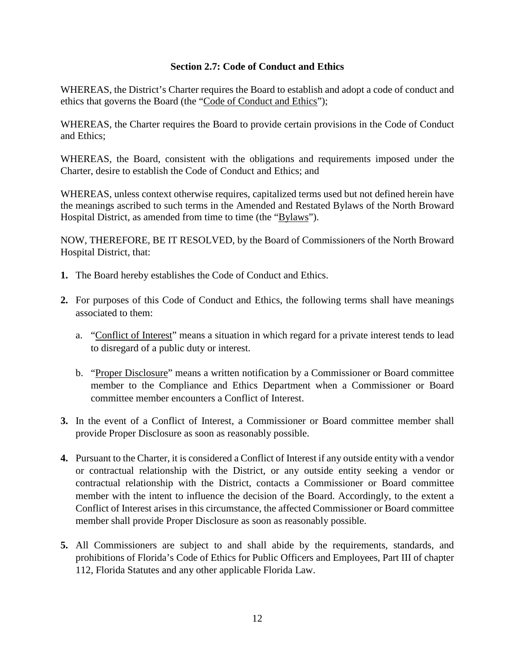# **Section 2.7: Code of Conduct and Ethics**

WHEREAS, the District's Charter requires the Board to establish and adopt a code of conduct and ethics that governs the Board (the "Code of Conduct and Ethics");

WHEREAS, the Charter requires the Board to provide certain provisions in the Code of Conduct and Ethics;

WHEREAS, the Board, consistent with the obligations and requirements imposed under the Charter, desire to establish the Code of Conduct and Ethics; and

WHEREAS, unless context otherwise requires, capitalized terms used but not defined herein have the meanings ascribed to such terms in the Amended and Restated Bylaws of the North Broward Hospital District, as amended from time to time (the "Bylaws").

- **1.** The Board hereby establishes the Code of Conduct and Ethics.
- **2.** For purposes of this Code of Conduct and Ethics, the following terms shall have meanings associated to them:
	- a. "Conflict of Interest" means a situation in which regard for a private interest tends to lead to disregard of a public duty or interest.
	- b. "Proper Disclosure" means a written notification by a Commissioner or Board committee member to the Compliance and Ethics Department when a Commissioner or Board committee member encounters a Conflict of Interest.
- **3.** In the event of a Conflict of Interest, a Commissioner or Board committee member shall provide Proper Disclosure as soon as reasonably possible.
- **4.** Pursuant to the Charter, it is considered a Conflict of Interest if any outside entity with a vendor or contractual relationship with the District, or any outside entity seeking a vendor or contractual relationship with the District, contacts a Commissioner or Board committee member with the intent to influence the decision of the Board. Accordingly, to the extent a Conflict of Interest arises in this circumstance, the affected Commissioner or Board committee member shall provide Proper Disclosure as soon as reasonably possible.
- **5.** All Commissioners are subject to and shall abide by the requirements, standards, and prohibitions of Florida's Code of Ethics for Public Officers and Employees, Part III of chapter 112, Florida Statutes and any other applicable Florida Law.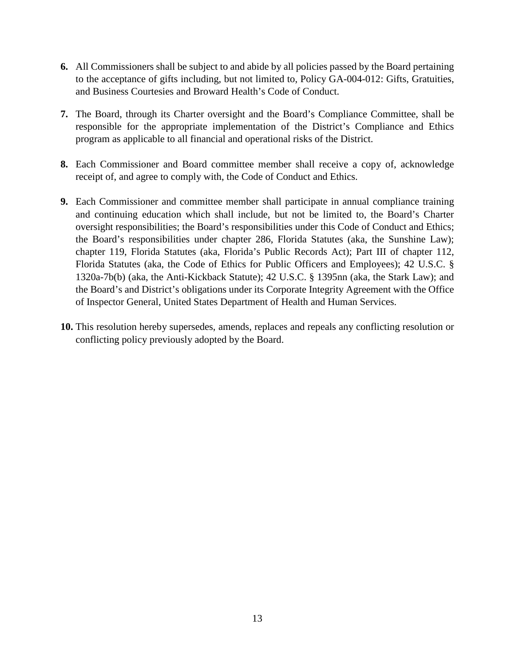- **6.** All Commissioners shall be subject to and abide by all policies passed by the Board pertaining to the acceptance of gifts including, but not limited to, Policy GA-004-012: Gifts, Gratuities, and Business Courtesies and Broward Health's Code of Conduct.
- **7.** The Board, through its Charter oversight and the Board's Compliance Committee, shall be responsible for the appropriate implementation of the District's Compliance and Ethics program as applicable to all financial and operational risks of the District.
- **8.** Each Commissioner and Board committee member shall receive a copy of, acknowledge receipt of, and agree to comply with, the Code of Conduct and Ethics.
- **9.** Each Commissioner and committee member shall participate in annual compliance training and continuing education which shall include, but not be limited to, the Board's Charter oversight responsibilities; the Board's responsibilities under this Code of Conduct and Ethics; the Board's responsibilities under chapter 286, Florida Statutes (aka, the Sunshine Law); chapter 119, Florida Statutes (aka, Florida's Public Records Act); Part III of chapter 112, Florida Statutes (aka, the Code of Ethics for Public Officers and Employees); 42 U.S.C. § 1320a-7b(b) (aka, the Anti-Kickback Statute); 42 U.S.C. § 1395nn (aka, the Stark Law); and the Board's and District's obligations under its Corporate Integrity Agreement with the Office of Inspector General, United States Department of Health and Human Services.
- **10.** This resolution hereby supersedes, amends, replaces and repeals any conflicting resolution or conflicting policy previously adopted by the Board.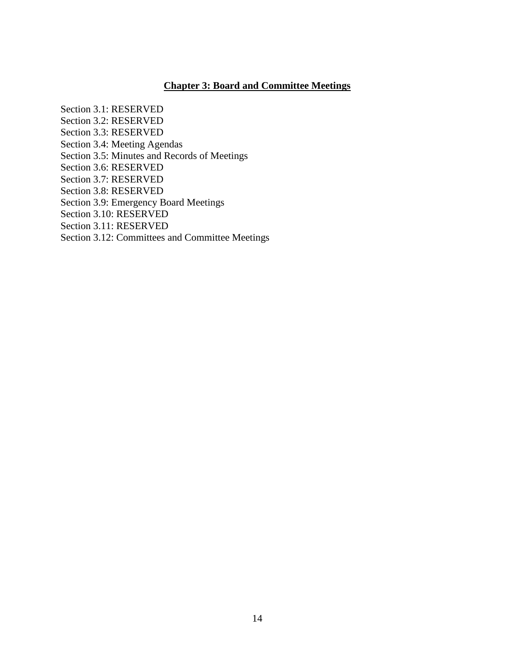# **Chapter 3: Board and Committee Meetings**

Section 3.1: RESERVED Section 3.2: RESERVED Section 3.3: RESERVED Section 3.4: Meeting Agendas Section 3.5: Minutes and Records of Meetings Section 3.6: RESERVED Section 3.7: RESERVED Section 3.8: RESERVED Section 3.9: Emergency Board Meetings Section 3.10: RESERVED Section 3.11: RESERVED Section 3.12: Committees and Committee Meetings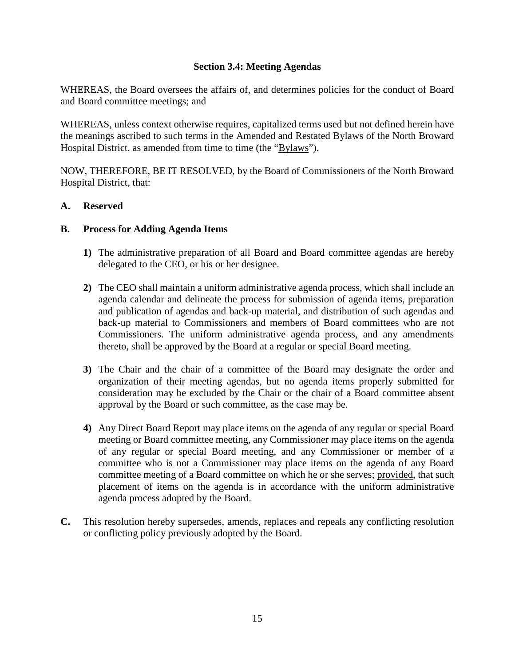# **Section 3.4: Meeting Agendas**

WHEREAS, the Board oversees the affairs of, and determines policies for the conduct of Board and Board committee meetings; and

WHEREAS, unless context otherwise requires, capitalized terms used but not defined herein have the meanings ascribed to such terms in the Amended and Restated Bylaws of the North Broward Hospital District, as amended from time to time (the "Bylaws").

NOW, THEREFORE, BE IT RESOLVED, by the Board of Commissioners of the North Broward Hospital District, that:

## **A. Reserved**

## **B. Process for Adding Agenda Items**

- **1)** The administrative preparation of all Board and Board committee agendas are hereby delegated to the CEO, or his or her designee.
- **2)** The CEO shall maintain a uniform administrative agenda process, which shall include an agenda calendar and delineate the process for submission of agenda items, preparation and publication of agendas and back-up material, and distribution of such agendas and back-up material to Commissioners and members of Board committees who are not Commissioners. The uniform administrative agenda process, and any amendments thereto, shall be approved by the Board at a regular or special Board meeting.
- **3)** The Chair and the chair of a committee of the Board may designate the order and organization of their meeting agendas, but no agenda items properly submitted for consideration may be excluded by the Chair or the chair of a Board committee absent approval by the Board or such committee, as the case may be.
- **4)** Any Direct Board Report may place items on the agenda of any regular or special Board meeting or Board committee meeting, any Commissioner may place items on the agenda of any regular or special Board meeting, and any Commissioner or member of a committee who is not a Commissioner may place items on the agenda of any Board committee meeting of a Board committee on which he or she serves; provided, that such placement of items on the agenda is in accordance with the uniform administrative agenda process adopted by the Board.
- **C.** This resolution hereby supersedes, amends, replaces and repeals any conflicting resolution or conflicting policy previously adopted by the Board.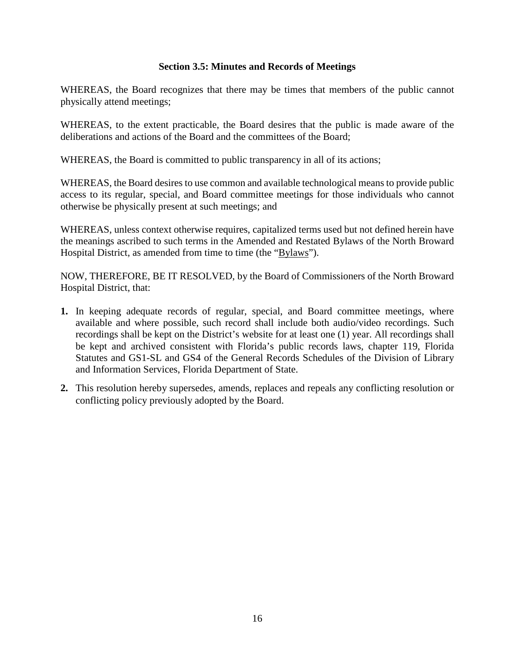# **Section 3.5: Minutes and Records of Meetings**

WHEREAS, the Board recognizes that there may be times that members of the public cannot physically attend meetings;

WHEREAS, to the extent practicable, the Board desires that the public is made aware of the deliberations and actions of the Board and the committees of the Board;

WHEREAS, the Board is committed to public transparency in all of its actions;

WHEREAS, the Board desires to use common and available technological means to provide public access to its regular, special, and Board committee meetings for those individuals who cannot otherwise be physically present at such meetings; and

WHEREAS, unless context otherwise requires, capitalized terms used but not defined herein have the meanings ascribed to such terms in the Amended and Restated Bylaws of the North Broward Hospital District, as amended from time to time (the "Bylaws").

- **1.** In keeping adequate records of regular, special, and Board committee meetings, where available and where possible, such record shall include both audio/video recordings. Such recordings shall be kept on the District's website for at least one (1) year. All recordings shall be kept and archived consistent with Florida's public records laws, chapter 119, Florida Statutes and GS1-SL and GS4 of the General Records Schedules of the Division of Library and Information Services, Florida Department of State.
- **2.** This resolution hereby supersedes, amends, replaces and repeals any conflicting resolution or conflicting policy previously adopted by the Board.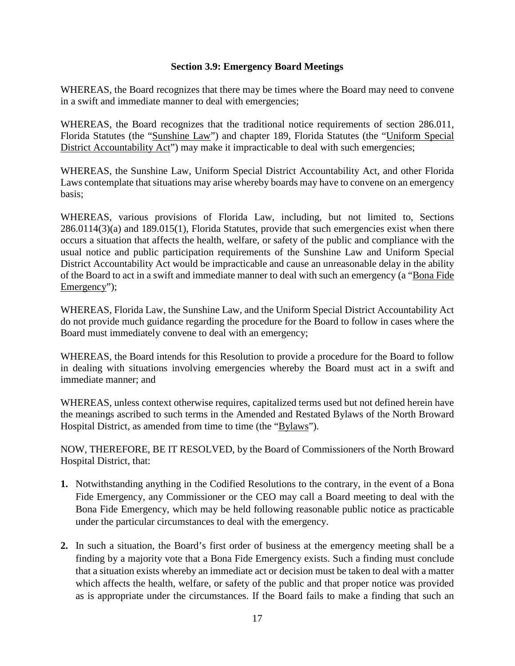# **Section 3.9: Emergency Board Meetings**

WHEREAS, the Board recognizes that there may be times where the Board may need to convene in a swift and immediate manner to deal with emergencies;

WHEREAS, the Board recognizes that the traditional notice requirements of section 286.011, Florida Statutes (the "Sunshine Law") and chapter 189, Florida Statutes (the "Uniform Special District Accountability Act") may make it impracticable to deal with such emergencies;

WHEREAS, the Sunshine Law, Uniform Special District Accountability Act, and other Florida Laws contemplate that situations may arise whereby boards may have to convene on an emergency basis;

WHEREAS, various provisions of Florida Law, including, but not limited to, Sections 286.0114(3)(a) and 189.015(1), Florida Statutes, provide that such emergencies exist when there occurs a situation that affects the health, welfare, or safety of the public and compliance with the usual notice and public participation requirements of the Sunshine Law and Uniform Special District Accountability Act would be impracticable and cause an unreasonable delay in the ability of the Board to act in a swift and immediate manner to deal with such an emergency (a "Bona Fide Emergency");

WHEREAS, Florida Law, the Sunshine Law, and the Uniform Special District Accountability Act do not provide much guidance regarding the procedure for the Board to follow in cases where the Board must immediately convene to deal with an emergency;

WHEREAS, the Board intends for this Resolution to provide a procedure for the Board to follow in dealing with situations involving emergencies whereby the Board must act in a swift and immediate manner; and

WHEREAS, unless context otherwise requires, capitalized terms used but not defined herein have the meanings ascribed to such terms in the Amended and Restated Bylaws of the North Broward Hospital District, as amended from time to time (the "Bylaws").

- **1.** Notwithstanding anything in the Codified Resolutions to the contrary, in the event of a Bona Fide Emergency, any Commissioner or the CEO may call a Board meeting to deal with the Bona Fide Emergency, which may be held following reasonable public notice as practicable under the particular circumstances to deal with the emergency.
- **2.** In such a situation, the Board's first order of business at the emergency meeting shall be a finding by a majority vote that a Bona Fide Emergency exists. Such a finding must conclude that a situation exists whereby an immediate act or decision must be taken to deal with a matter which affects the health, welfare, or safety of the public and that proper notice was provided as is appropriate under the circumstances. If the Board fails to make a finding that such an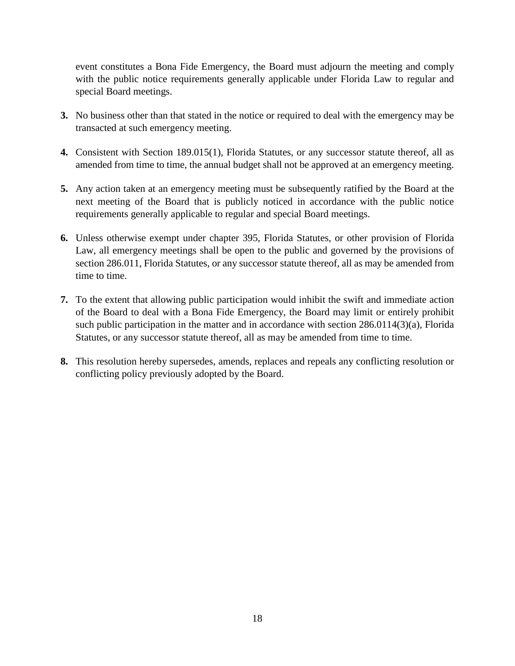event constitutes a Bona Fide Emergency, the Board must adjourn the meeting and comply with the public notice requirements generally applicable under Florida Law to regular and special Board meetings.

- **3.** No business other than that stated in the notice or required to deal with the emergency may be transacted at such emergency meeting.
- **4.** Consistent with Section 189.015(1), Florida Statutes, or any successor statute thereof, all as amended from time to time, the annual budget shall not be approved at an emergency meeting.
- **5.** Any action taken at an emergency meeting must be subsequently ratified by the Board at the next meeting of the Board that is publicly noticed in accordance with the public notice requirements generally applicable to regular and special Board meetings.
- **6.** Unless otherwise exempt under chapter 395, Florida Statutes, or other provision of Florida Law, all emergency meetings shall be open to the public and governed by the provisions of section 286.011, Florida Statutes, or any successor statute thereof, all as may be amended from time to time.
- **7.** To the extent that allowing public participation would inhibit the swift and immediate action of the Board to deal with a Bona Fide Emergency, the Board may limit or entirely prohibit such public participation in the matter and in accordance with section 286.0114(3)(a), Florida Statutes, or any successor statute thereof, all as may be amended from time to time.
- **8.** This resolution hereby supersedes, amends, replaces and repeals any conflicting resolution or conflicting policy previously adopted by the Board.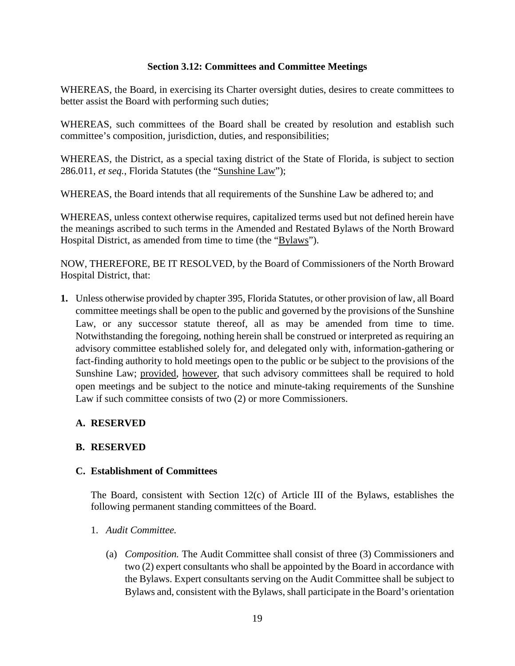# **Section 3.12: Committees and Committee Meetings**

WHEREAS, the Board, in exercising its Charter oversight duties, desires to create committees to better assist the Board with performing such duties;

WHEREAS, such committees of the Board shall be created by resolution and establish such committee's composition, jurisdiction, duties, and responsibilities;

WHEREAS, the District, as a special taxing district of the State of Florida, is subject to section 286.011, *et seq.*, Florida Statutes (the "Sunshine Law");

WHEREAS, the Board intends that all requirements of the Sunshine Law be adhered to; and

WHEREAS, unless context otherwise requires, capitalized terms used but not defined herein have the meanings ascribed to such terms in the Amended and Restated Bylaws of the North Broward Hospital District, as amended from time to time (the "Bylaws").

NOW, THEREFORE, BE IT RESOLVED, by the Board of Commissioners of the North Broward Hospital District, that:

**1.** Unless otherwise provided by chapter 395, Florida Statutes, or other provision of law, all Board committee meetings shall be open to the public and governed by the provisions of the Sunshine Law, or any successor statute thereof, all as may be amended from time to time. Notwithstanding the foregoing, nothing herein shall be construed or interpreted as requiring an advisory committee established solely for, and delegated only with, information-gathering or fact-finding authority to hold meetings open to the public or be subject to the provisions of the Sunshine Law; provided, however, that such advisory committees shall be required to hold open meetings and be subject to the notice and minute-taking requirements of the Sunshine Law if such committee consists of two (2) or more Commissioners.

# **A. RESERVED**

# **B. RESERVED**

## **C. Establishment of Committees**

The Board, consistent with Section 12(c) of Article III of the Bylaws, establishes the following permanent standing committees of the Board.

- 1. *Audit Committee.*
	- (a) *Composition.* The Audit Committee shall consist of three (3) Commissioners and two (2) expert consultants who shall be appointed by the Board in accordance with the Bylaws. Expert consultants serving on the Audit Committee shall be subject to Bylaws and, consistent with the Bylaws, shall participate in the Board's orientation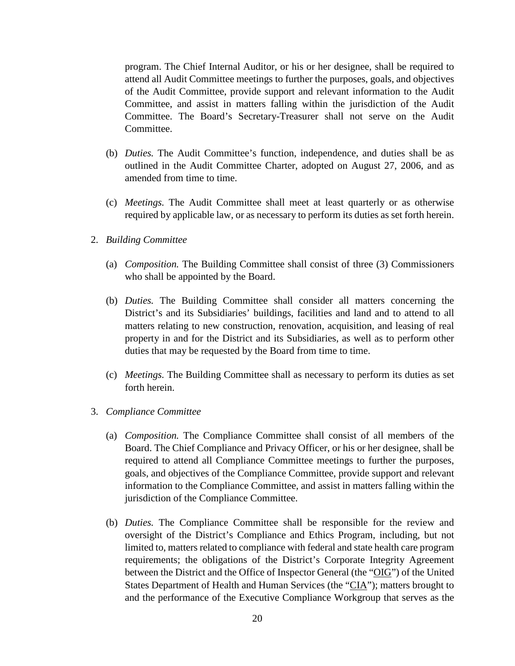program. The Chief Internal Auditor, or his or her designee, shall be required to attend all Audit Committee meetings to further the purposes, goals, and objectives of the Audit Committee, provide support and relevant information to the Audit Committee, and assist in matters falling within the jurisdiction of the Audit Committee. The Board's Secretary-Treasurer shall not serve on the Audit Committee.

- (b) *Duties.* The Audit Committee's function, independence, and duties shall be as outlined in the Audit Committee Charter, adopted on August 27, 2006, and as amended from time to time.
- (c) *Meetings.* The Audit Committee shall meet at least quarterly or as otherwise required by applicable law, or as necessary to perform its duties as set forth herein.
- 2. *Building Committee*
	- (a) *Composition.* The Building Committee shall consist of three (3) Commissioners who shall be appointed by the Board.
	- (b) *Duties.* The Building Committee shall consider all matters concerning the District's and its Subsidiaries' buildings, facilities and land and to attend to all matters relating to new construction, renovation, acquisition, and leasing of real property in and for the District and its Subsidiaries, as well as to perform other duties that may be requested by the Board from time to time.
	- (c) *Meetings.* The Building Committee shall as necessary to perform its duties as set forth herein.
- 3. *Compliance Committee*
	- (a) *Composition.* The Compliance Committee shall consist of all members of the Board. The Chief Compliance and Privacy Officer, or his or her designee, shall be required to attend all Compliance Committee meetings to further the purposes, goals, and objectives of the Compliance Committee, provide support and relevant information to the Compliance Committee, and assist in matters falling within the jurisdiction of the Compliance Committee.
	- (b) *Duties.* The Compliance Committee shall be responsible for the review and oversight of the District's Compliance and Ethics Program, including, but not limited to, matters related to compliance with federal and state health care program requirements; the obligations of the District's Corporate Integrity Agreement between the District and the Office of Inspector General (the "OIG") of the United States Department of Health and Human Services (the "CIA"); matters brought to and the performance of the Executive Compliance Workgroup that serves as the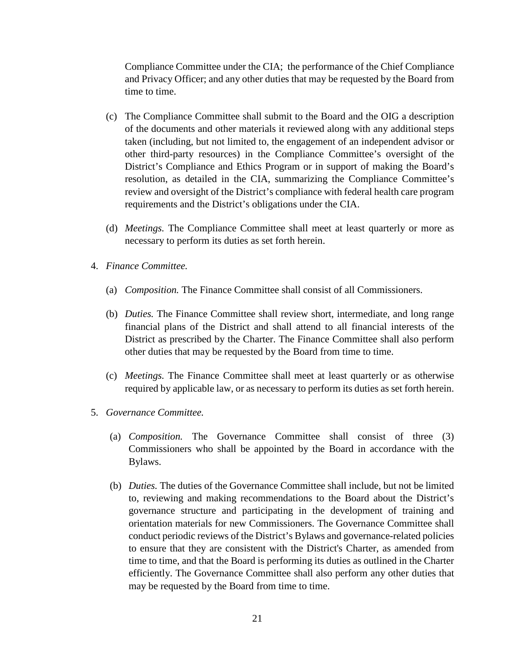Compliance Committee under the CIA; the performance of the Chief Compliance and Privacy Officer; and any other duties that may be requested by the Board from time to time.

- (c) The Compliance Committee shall submit to the Board and the OIG a description of the documents and other materials it reviewed along with any additional steps taken (including, but not limited to, the engagement of an independent advisor or other third-party resources) in the Compliance Committee's oversight of the District's Compliance and Ethics Program or in support of making the Board's resolution, as detailed in the CIA, summarizing the Compliance Committee's review and oversight of the District's compliance with federal health care program requirements and the District's obligations under the CIA.
- (d) *Meetings.* The Compliance Committee shall meet at least quarterly or more as necessary to perform its duties as set forth herein.
- 4. *Finance Committee.*
	- (a) *Composition.* The Finance Committee shall consist of all Commissioners.
	- (b) *Duties.* The Finance Committee shall review short, intermediate, and long range financial plans of the District and shall attend to all financial interests of the District as prescribed by the Charter. The Finance Committee shall also perform other duties that may be requested by the Board from time to time.
	- (c) *Meetings.* The Finance Committee shall meet at least quarterly or as otherwise required by applicable law, or as necessary to perform its duties as set forth herein.
- 5. *Governance Committee.*
	- (a) *Composition.* The Governance Committee shall consist of three (3) Commissioners who shall be appointed by the Board in accordance with the Bylaws.
	- (b) *Duties.* The duties of the Governance Committee shall include, but not be limited to, reviewing and making recommendations to the Board about the District's governance structure and participating in the development of training and orientation materials for new Commissioners. The Governance Committee shall conduct periodic reviews of the District's Bylaws and governance-related policies to ensure that they are consistent with the District's Charter, as amended from time to time, and that the Board is performing its duties as outlined in the Charter efficiently. The Governance Committee shall also perform any other duties that may be requested by the Board from time to time.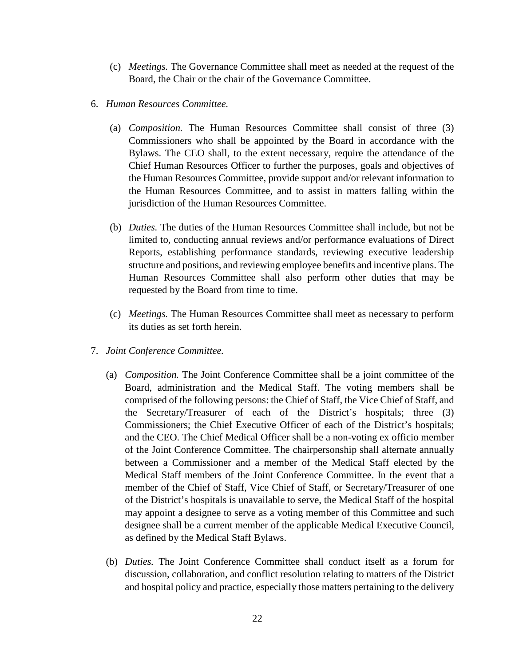- (c) *Meetings.* The Governance Committee shall meet as needed at the request of the Board, the Chair or the chair of the Governance Committee.
- 6. *Human Resources Committee.*
	- (a) *Composition.* The Human Resources Committee shall consist of three (3) Commissioners who shall be appointed by the Board in accordance with the Bylaws. The CEO shall, to the extent necessary, require the attendance of the Chief Human Resources Officer to further the purposes, goals and objectives of the Human Resources Committee, provide support and/or relevant information to the Human Resources Committee, and to assist in matters falling within the jurisdiction of the Human Resources Committee.
	- (b) *Duties.* The duties of the Human Resources Committee shall include, but not be limited to, conducting annual reviews and/or performance evaluations of Direct Reports, establishing performance standards, reviewing executive leadership structure and positions, and reviewing employee benefits and incentive plans. The Human Resources Committee shall also perform other duties that may be requested by the Board from time to time.
	- (c) *Meetings.* The Human Resources Committee shall meet as necessary to perform its duties as set forth herein.
- 7. *Joint Conference Committee.*
	- (a) *Composition.* The Joint Conference Committee shall be a joint committee of the Board, administration and the Medical Staff. The voting members shall be comprised of the following persons: the Chief of Staff, the Vice Chief of Staff, and the Secretary/Treasurer of each of the District's hospitals; three (3) Commissioners; the Chief Executive Officer of each of the District's hospitals; and the CEO. The Chief Medical Officer shall be a non-voting ex officio member of the Joint Conference Committee. The chairpersonship shall alternate annually between a Commissioner and a member of the Medical Staff elected by the Medical Staff members of the Joint Conference Committee. In the event that a member of the Chief of Staff, Vice Chief of Staff, or Secretary/Treasurer of one of the District's hospitals is unavailable to serve, the Medical Staff of the hospital may appoint a designee to serve as a voting member of this Committee and such designee shall be a current member of the applicable Medical Executive Council, as defined by the Medical Staff Bylaws.
	- (b) *Duties.* The Joint Conference Committee shall conduct itself as a forum for discussion, collaboration, and conflict resolution relating to matters of the District and hospital policy and practice, especially those matters pertaining to the delivery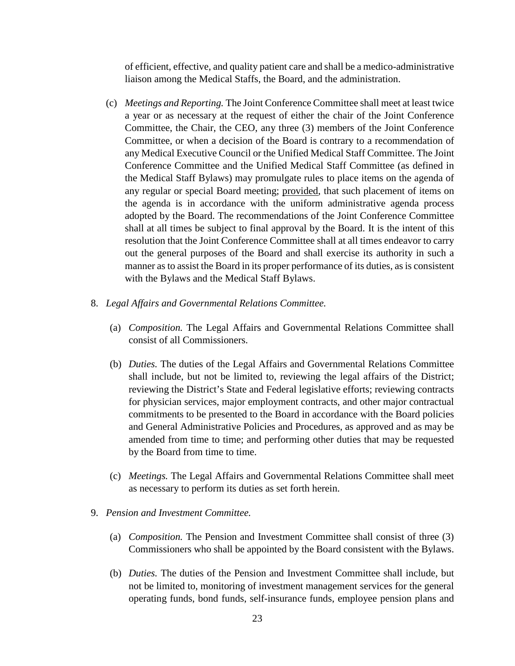of efficient, effective, and quality patient care and shall be a medico-administrative liaison among the Medical Staffs, the Board, and the administration.

- (c) *Meetings and Reporting.* The Joint Conference Committee shall meet at least twice a year or as necessary at the request of either the chair of the Joint Conference Committee, the Chair, the CEO, any three (3) members of the Joint Conference Committee, or when a decision of the Board is contrary to a recommendation of any Medical Executive Council or the Unified Medical Staff Committee. The Joint Conference Committee and the Unified Medical Staff Committee (as defined in the Medical Staff Bylaws) may promulgate rules to place items on the agenda of any regular or special Board meeting; provided, that such placement of items on the agenda is in accordance with the uniform administrative agenda process adopted by the Board. The recommendations of the Joint Conference Committee shall at all times be subject to final approval by the Board. It is the intent of this resolution that the Joint Conference Committee shall at all times endeavor to carry out the general purposes of the Board and shall exercise its authority in such a manner as to assist the Board in its proper performance of its duties, as is consistent with the Bylaws and the Medical Staff Bylaws.
- 8. *Legal Affairs and Governmental Relations Committee.*
	- (a) *Composition.* The Legal Affairs and Governmental Relations Committee shall consist of all Commissioners.
	- (b) *Duties.* The duties of the Legal Affairs and Governmental Relations Committee shall include, but not be limited to, reviewing the legal affairs of the District; reviewing the District's State and Federal legislative efforts; reviewing contracts for physician services, major employment contracts, and other major contractual commitments to be presented to the Board in accordance with the Board policies and General Administrative Policies and Procedures, as approved and as may be amended from time to time; and performing other duties that may be requested by the Board from time to time.
	- (c) *Meetings.* The Legal Affairs and Governmental Relations Committee shall meet as necessary to perform its duties as set forth herein.
- 9. *Pension and Investment Committee.*
	- (a) *Composition.* The Pension and Investment Committee shall consist of three (3) Commissioners who shall be appointed by the Board consistent with the Bylaws.
	- (b) *Duties.* The duties of the Pension and Investment Committee shall include, but not be limited to, monitoring of investment management services for the general operating funds, bond funds, self-insurance funds, employee pension plans and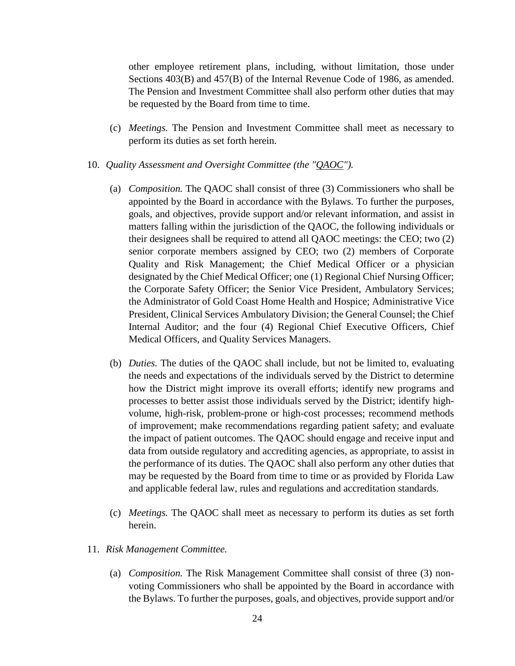other employee retirement plans, including, without limitation, those under Sections 403(B) and 457(B) of the Internal Revenue Code of 1986, as amended. The Pension and Investment Committee shall also perform other duties that may be requested by the Board from time to time.

- (c) *Meetings.* The Pension and Investment Committee shall meet as necessary to perform its duties as set forth herein.
- 10. *Quality Assessment and Oversight Committee (the "QAOC").*
	- (a) *Composition.* The QAOC shall consist of three (3) Commissioners who shall be appointed by the Board in accordance with the Bylaws. To further the purposes, goals, and objectives, provide support and/or relevant information, and assist in matters falling within the jurisdiction of the QAOC, the following individuals or their designees shall be required to attend all QAOC meetings: the CEO; two (2) senior corporate members assigned by CEO; two (2) members of Corporate Quality and Risk Management; the Chief Medical Officer or a physician designated by the Chief Medical Officer; one (1) Regional Chief Nursing Officer; the Corporate Safety Officer; the Senior Vice President, Ambulatory Services; the Administrator of Gold Coast Home Health and Hospice; Administrative Vice President, Clinical Services Ambulatory Division; the General Counsel; the Chief Internal Auditor; and the four (4) Regional Chief Executive Officers, Chief Medical Officers, and Quality Services Managers.
	- (b) *Duties.* The duties of the QAOC shall include, but not be limited to, evaluating the needs and expectations of the individuals served by the District to determine how the District might improve its overall efforts; identify new programs and processes to better assist those individuals served by the District; identify highvolume, high-risk, problem-prone or high-cost processes; recommend methods of improvement; make recommendations regarding patient safety; and evaluate the impact of patient outcomes. The QAOC should engage and receive input and data from outside regulatory and accrediting agencies, as appropriate, to assist in the performance of its duties. The QAOC shall also perform any other duties that may be requested by the Board from time to time or as provided by Florida Law and applicable federal law, rules and regulations and accreditation standards.
	- (c) *Meetings.* The QAOC shall meet as necessary to perform its duties as set forth herein.
- 11. *Risk Management Committee.*
	- (a) *Composition.* The Risk Management Committee shall consist of three (3) nonvoting Commissioners who shall be appointed by the Board in accordance with the Bylaws. To further the purposes, goals, and objectives, provide support and/or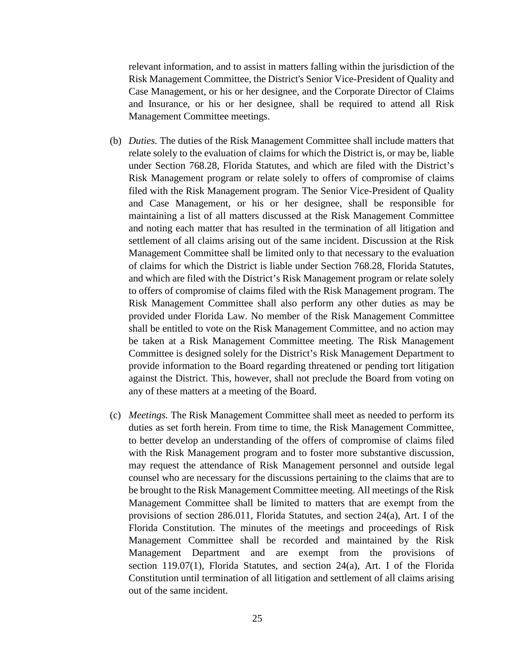relevant information, and to assist in matters falling within the jurisdiction of the Risk Management Committee, the District's Senior Vice-President of Quality and Case Management, or his or her designee, and the Corporate Director of Claims and Insurance, or his or her designee, shall be required to attend all Risk Management Committee meetings.

- (b) *Duties.* The duties of the Risk Management Committee shall include matters that relate solely to the evaluation of claims for which the District is, or may be, liable under Section 768.28, Florida Statutes, and which are filed with the District's Risk Management program or relate solely to offers of compromise of claims filed with the Risk Management program. The Senior Vice-President of Quality and Case Management, or his or her designee, shall be responsible for maintaining a list of all matters discussed at the Risk Management Committee and noting each matter that has resulted in the termination of all litigation and settlement of all claims arising out of the same incident. Discussion at the Risk Management Committee shall be limited only to that necessary to the evaluation of claims for which the District is liable under Section 768.28, Florida Statutes, and which are filed with the District's Risk Management program or relate solely to offers of compromise of claims filed with the Risk Management program. The Risk Management Committee shall also perform any other duties as may be provided under Florida Law. No member of the Risk Management Committee shall be entitled to vote on the Risk Management Committee, and no action may be taken at a Risk Management Committee meeting. The Risk Management Committee is designed solely for the District's Risk Management Department to provide information to the Board regarding threatened or pending tort litigation against the District. This, however, shall not preclude the Board from voting on any of these matters at a meeting of the Board.
- (c) *Meetings.* The Risk Management Committee shall meet as needed to perform its duties as set forth herein. From time to time, the Risk Management Committee, to better develop an understanding of the offers of compromise of claims filed with the Risk Management program and to foster more substantive discussion, may request the attendance of Risk Management personnel and outside legal counsel who are necessary for the discussions pertaining to the claims that are to be brought to the Risk Management Committee meeting. All meetings of the Risk Management Committee shall be limited to matters that are exempt from the provisions of section 286.011, Florida Statutes, and section 24(a), Art. I of the Florida Constitution. The minutes of the meetings and proceedings of Risk Management Committee shall be recorded and maintained by the Risk Management Department and are exempt from the provisions of section 119.07(1), Florida Statutes, and section  $24(a)$ , Art. I of the Florida Constitution until termination of all litigation and settlement of all claims arising out of the same incident.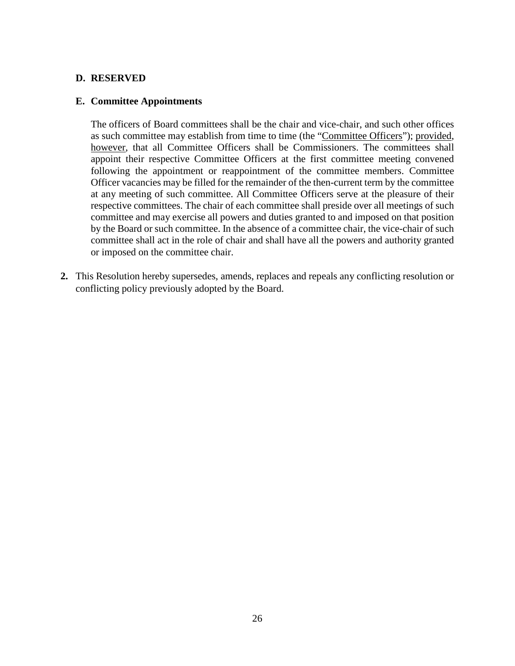## **D. RESERVED**

#### **E. Committee Appointments**

The officers of Board committees shall be the chair and vice-chair, and such other offices as such committee may establish from time to time (the "Committee Officers"); provided, however, that all Committee Officers shall be Commissioners. The committees shall appoint their respective Committee Officers at the first committee meeting convened following the appointment or reappointment of the committee members. Committee Officer vacancies may be filled for the remainder of the then-current term by the committee at any meeting of such committee. All Committee Officers serve at the pleasure of their respective committees. The chair of each committee shall preside over all meetings of such committee and may exercise all powers and duties granted to and imposed on that position by the Board or such committee. In the absence of a committee chair, the vice-chair of such committee shall act in the role of chair and shall have all the powers and authority granted or imposed on the committee chair.

**2.** This Resolution hereby supersedes, amends, replaces and repeals any conflicting resolution or conflicting policy previously adopted by the Board.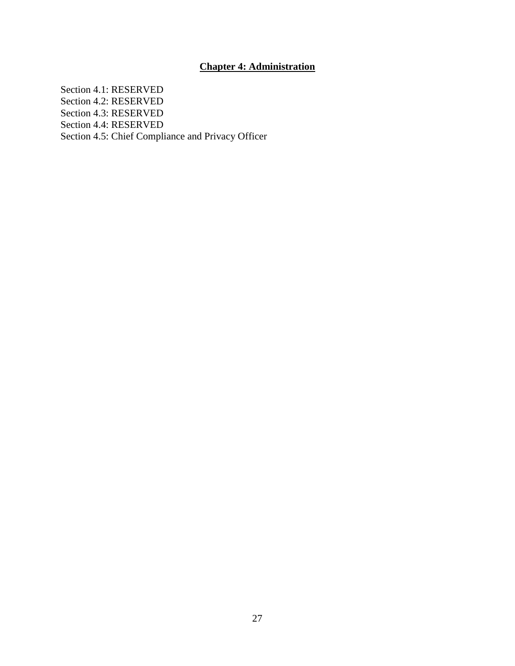# **Chapter 4: Administration**

Section 4.1: RESERVED Section 4.2: RESERVED Section 4.3: RESERVED Section 4.4: RESERVED Section 4.5: Chief Compliance and Privacy Officer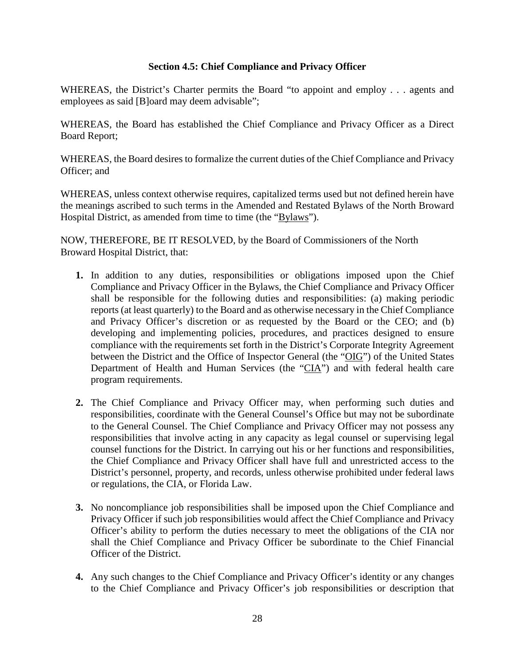# **Section 4.5: Chief Compliance and Privacy Officer**

WHEREAS, the District's Charter permits the Board "to appoint and employ . . . agents and employees as said [B]oard may deem advisable";

WHEREAS, the Board has established the Chief Compliance and Privacy Officer as a Direct Board Report;

WHEREAS, the Board desires to formalize the current duties of the Chief Compliance and Privacy Officer; and

WHEREAS, unless context otherwise requires, capitalized terms used but not defined herein have the meanings ascribed to such terms in the Amended and Restated Bylaws of the North Broward Hospital District, as amended from time to time (the "Bylaws").

- **1.** In addition to any duties, responsibilities or obligations imposed upon the Chief Compliance and Privacy Officer in the Bylaws, the Chief Compliance and Privacy Officer shall be responsible for the following duties and responsibilities: (a) making periodic reports (at least quarterly) to the Board and as otherwise necessary in the Chief Compliance and Privacy Officer's discretion or as requested by the Board or the CEO; and (b) developing and implementing policies, procedures, and practices designed to ensure compliance with the requirements set forth in the District's Corporate Integrity Agreement between the District and the Office of Inspector General (the "OIG") of the United States Department of Health and Human Services (the "CIA") and with federal health care program requirements.
- **2.** The Chief Compliance and Privacy Officer may, when performing such duties and responsibilities, coordinate with the General Counsel's Office but may not be subordinate to the General Counsel. The Chief Compliance and Privacy Officer may not possess any responsibilities that involve acting in any capacity as legal counsel or supervising legal counsel functions for the District. In carrying out his or her functions and responsibilities, the Chief Compliance and Privacy Officer shall have full and unrestricted access to the District's personnel, property, and records, unless otherwise prohibited under federal laws or regulations, the CIA, or Florida Law.
- **3.** No noncompliance job responsibilities shall be imposed upon the Chief Compliance and Privacy Officer if such job responsibilities would affect the Chief Compliance and Privacy Officer's ability to perform the duties necessary to meet the obligations of the CIA nor shall the Chief Compliance and Privacy Officer be subordinate to the Chief Financial Officer of the District.
- **4.** Any such changes to the Chief Compliance and Privacy Officer's identity or any changes to the Chief Compliance and Privacy Officer's job responsibilities or description that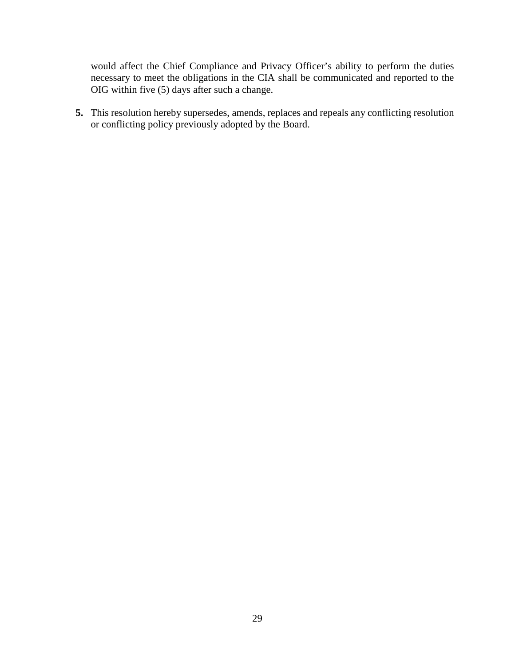would affect the Chief Compliance and Privacy Officer's ability to perform the duties necessary to meet the obligations in the CIA shall be communicated and reported to the OIG within five (5) days after such a change.

**5.** This resolution hereby supersedes, amends, replaces and repeals any conflicting resolution or conflicting policy previously adopted by the Board.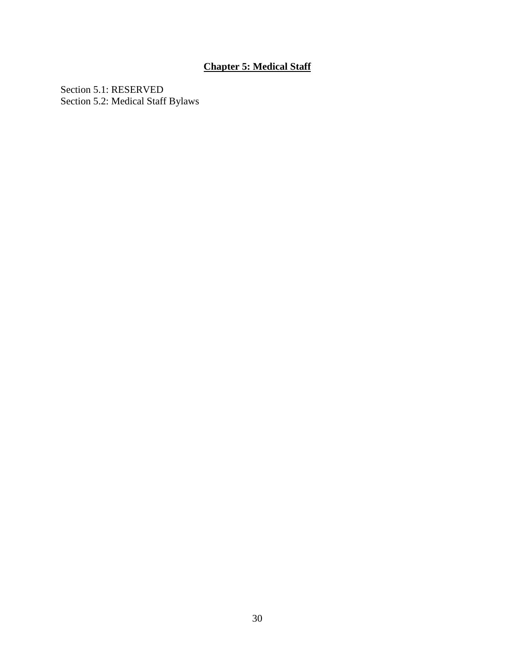# **Chapter 5: Medical Staff**

Section 5.1: RESERVED Section 5.2: Medical Staff Bylaws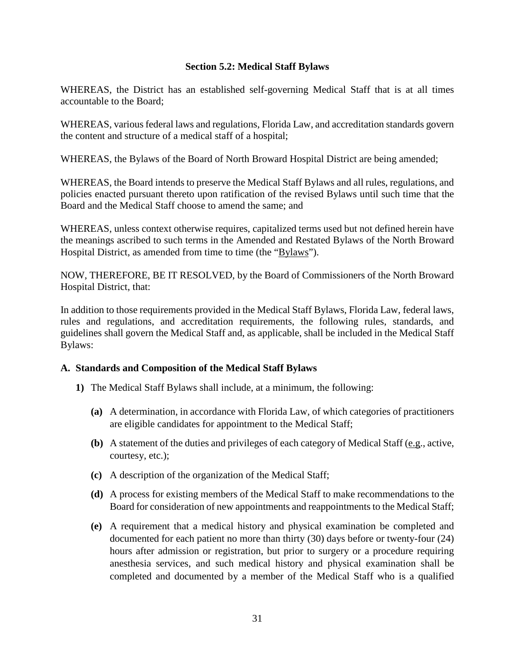# **Section 5.2: Medical Staff Bylaws**

WHEREAS, the District has an established self-governing Medical Staff that is at all times accountable to the Board;

WHEREAS, various federal laws and regulations, Florida Law, and accreditation standards govern the content and structure of a medical staff of a hospital;

WHEREAS, the Bylaws of the Board of North Broward Hospital District are being amended;

WHEREAS, the Board intends to preserve the Medical Staff Bylaws and all rules, regulations, and policies enacted pursuant thereto upon ratification of the revised Bylaws until such time that the Board and the Medical Staff choose to amend the same; and

WHEREAS, unless context otherwise requires, capitalized terms used but not defined herein have the meanings ascribed to such terms in the Amended and Restated Bylaws of the North Broward Hospital District, as amended from time to time (the "Bylaws").

NOW, THEREFORE, BE IT RESOLVED, by the Board of Commissioners of the North Broward Hospital District, that:

In addition to those requirements provided in the Medical Staff Bylaws, Florida Law, federal laws, rules and regulations, and accreditation requirements, the following rules, standards, and guidelines shall govern the Medical Staff and, as applicable, shall be included in the Medical Staff Bylaws:

# **A. Standards and Composition of the Medical Staff Bylaws**

- **1)** The Medical Staff Bylaws shall include, at a minimum, the following:
	- **(a)** A determination, in accordance with Florida Law, of which categories of practitioners are eligible candidates for appointment to the Medical Staff;
	- **(b)** A statement of the duties and privileges of each category of Medical Staff (e.g., active, courtesy, etc.);
	- **(c)** A description of the organization of the Medical Staff;
	- **(d)** A process for existing members of the Medical Staff to make recommendations to the Board for consideration of new appointments and reappointments to the Medical Staff;
	- **(e)** A requirement that a medical history and physical examination be completed and documented for each patient no more than thirty (30) days before or twenty-four (24) hours after admission or registration, but prior to surgery or a procedure requiring anesthesia services, and such medical history and physical examination shall be completed and documented by a member of the Medical Staff who is a qualified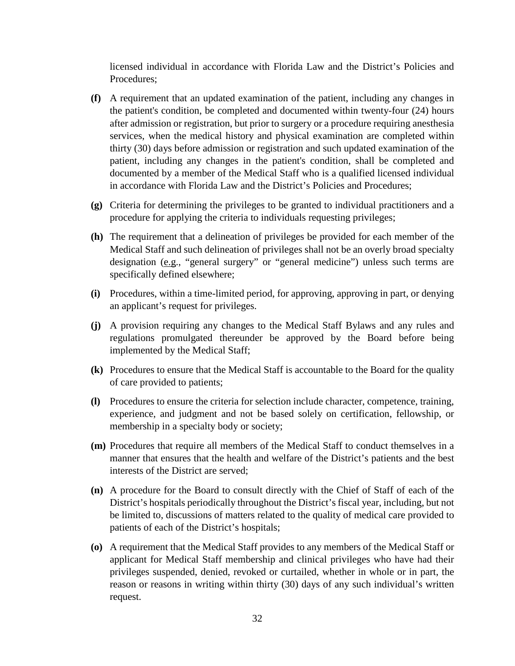licensed individual in accordance with Florida Law and the District's Policies and Procedures;

- **(f)** A requirement that an updated examination of the patient, including any changes in the patient's condition, be completed and documented within twenty-four (24) hours after admission or registration, but prior to surgery or a procedure requiring anesthesia services, when the medical history and physical examination are completed within thirty (30) days before admission or registration and such updated examination of the patient, including any changes in the patient's condition, shall be completed and documented by a member of the Medical Staff who is a qualified licensed individual in accordance with Florida Law and the District's Policies and Procedures;
- **(g)** Criteria for determining the privileges to be granted to individual practitioners and a procedure for applying the criteria to individuals requesting privileges;
- **(h)** The requirement that a delineation of privileges be provided for each member of the Medical Staff and such delineation of privileges shall not be an overly broad specialty designation (e.g., "general surgery" or "general medicine") unless such terms are specifically defined elsewhere;
- **(i)** Procedures, within a time-limited period, for approving, approving in part, or denying an applicant's request for privileges.
- **(j)** A provision requiring any changes to the Medical Staff Bylaws and any rules and regulations promulgated thereunder be approved by the Board before being implemented by the Medical Staff;
- **(k)** Procedures to ensure that the Medical Staff is accountable to the Board for the quality of care provided to patients;
- **(l)** Procedures to ensure the criteria for selection include character, competence, training, experience, and judgment and not be based solely on certification, fellowship, or membership in a specialty body or society;
- **(m)** Procedures that require all members of the Medical Staff to conduct themselves in a manner that ensures that the health and welfare of the District's patients and the best interests of the District are served;
- **(n)** A procedure for the Board to consult directly with the Chief of Staff of each of the District's hospitals periodically throughout the District's fiscal year, including, but not be limited to, discussions of matters related to the quality of medical care provided to patients of each of the District's hospitals;
- **(o)** A requirement that the Medical Staff provides to any members of the Medical Staff or applicant for Medical Staff membership and clinical privileges who have had their privileges suspended, denied, revoked or curtailed, whether in whole or in part, the reason or reasons in writing within thirty (30) days of any such individual's written request.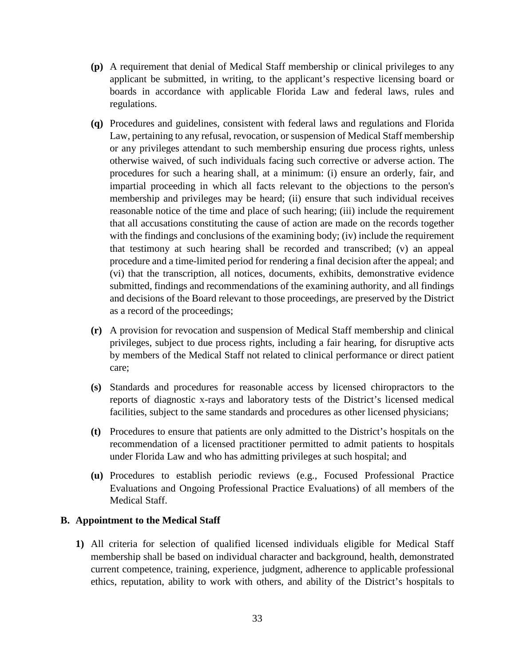- **(p)** A requirement that denial of Medical Staff membership or clinical privileges to any applicant be submitted, in writing, to the applicant's respective licensing board or boards in accordance with applicable Florida Law and federal laws, rules and regulations.
- **(q)** Procedures and guidelines, consistent with federal laws and regulations and Florida Law, pertaining to any refusal, revocation, or suspension of Medical Staff membership or any privileges attendant to such membership ensuring due process rights, unless otherwise waived, of such individuals facing such corrective or adverse action. The procedures for such a hearing shall, at a minimum: (i) ensure an orderly, fair, and impartial proceeding in which all facts relevant to the objections to the person's membership and privileges may be heard; (ii) ensure that such individual receives reasonable notice of the time and place of such hearing; (iii) include the requirement that all accusations constituting the cause of action are made on the records together with the findings and conclusions of the examining body; (iv) include the requirement that testimony at such hearing shall be recorded and transcribed; (v) an appeal procedure and a time-limited period for rendering a final decision after the appeal; and (vi) that the transcription, all notices, documents, exhibits, demonstrative evidence submitted, findings and recommendations of the examining authority, and all findings and decisions of the Board relevant to those proceedings, are preserved by the District as a record of the proceedings;
- **(r)** A provision for revocation and suspension of Medical Staff membership and clinical privileges, subject to due process rights, including a fair hearing, for disruptive acts by members of the Medical Staff not related to clinical performance or direct patient care;
- **(s)** Standards and procedures for reasonable access by licensed chiropractors to the reports of diagnostic x-rays and laboratory tests of the District's licensed medical facilities, subject to the same standards and procedures as other licensed physicians;
- **(t)** Procedures to ensure that patients are only admitted to the District's hospitals on the recommendation of a licensed practitioner permitted to admit patients to hospitals under Florida Law and who has admitting privileges at such hospital; and
- **(u)** Procedures to establish periodic reviews (e.g., Focused Professional Practice Evaluations and Ongoing Professional Practice Evaluations) of all members of the Medical Staff.

## **B. Appointment to the Medical Staff**

**1)** All criteria for selection of qualified licensed individuals eligible for Medical Staff membership shall be based on individual character and background, health, demonstrated current competence, training, experience, judgment, adherence to applicable professional ethics, reputation, ability to work with others, and ability of the District's hospitals to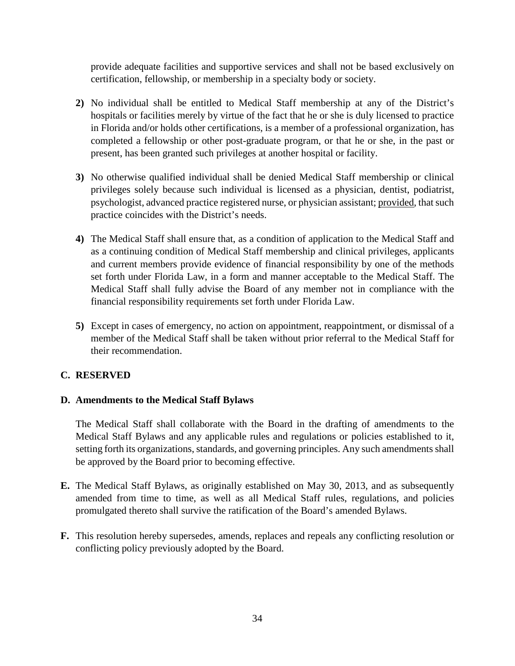provide adequate facilities and supportive services and shall not be based exclusively on certification, fellowship, or membership in a specialty body or society.

- **2)** No individual shall be entitled to Medical Staff membership at any of the District's hospitals or facilities merely by virtue of the fact that he or she is duly licensed to practice in Florida and/or holds other certifications, is a member of a professional organization, has completed a fellowship or other post-graduate program, or that he or she, in the past or present, has been granted such privileges at another hospital or facility.
- **3)** No otherwise qualified individual shall be denied Medical Staff membership or clinical privileges solely because such individual is licensed as a physician, dentist, podiatrist, psychologist, advanced practice registered nurse, or physician assistant; provided, that such practice coincides with the District's needs.
- **4)** The Medical Staff shall ensure that, as a condition of application to the Medical Staff and as a continuing condition of Medical Staff membership and clinical privileges, applicants and current members provide evidence of financial responsibility by one of the methods set forth under Florida Law, in a form and manner acceptable to the Medical Staff. The Medical Staff shall fully advise the Board of any member not in compliance with the financial responsibility requirements set forth under Florida Law.
- **5)** Except in cases of emergency, no action on appointment, reappointment, or dismissal of a member of the Medical Staff shall be taken without prior referral to the Medical Staff for their recommendation.

# **C. RESERVED**

# **D. Amendments to the Medical Staff Bylaws**

The Medical Staff shall collaborate with the Board in the drafting of amendments to the Medical Staff Bylaws and any applicable rules and regulations or policies established to it, setting forth its organizations, standards, and governing principles. Any such amendments shall be approved by the Board prior to becoming effective.

- **E.** The Medical Staff Bylaws, as originally established on May 30, 2013, and as subsequently amended from time to time, as well as all Medical Staff rules, regulations, and policies promulgated thereto shall survive the ratification of the Board's amended Bylaws.
- **F.** This resolution hereby supersedes, amends, replaces and repeals any conflicting resolution or conflicting policy previously adopted by the Board.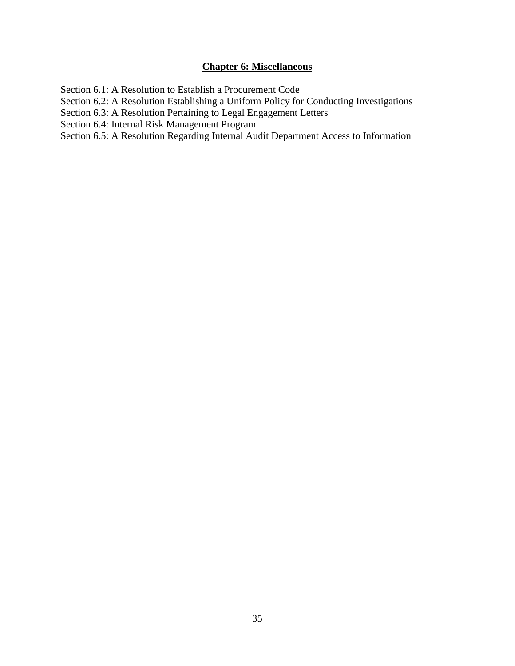# **Chapter 6: Miscellaneous**

Section 6.1: A Resolution to Establish a Procurement Code Section 6.2: A Resolution Establishing a Uniform Policy for Conducting Investigations Section 6.3: A Resolution Pertaining to Legal Engagement Letters Section 6.4: Internal Risk Management Program Section 6.5: A Resolution Regarding Internal Audit Department Access to Information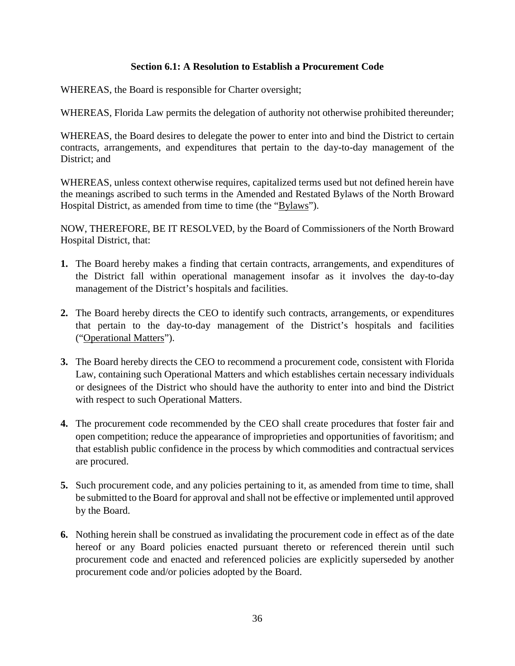# **Section 6.1: A Resolution to Establish a Procurement Code**

WHEREAS, the Board is responsible for Charter oversight;

WHEREAS, Florida Law permits the delegation of authority not otherwise prohibited thereunder;

WHEREAS, the Board desires to delegate the power to enter into and bind the District to certain contracts, arrangements, and expenditures that pertain to the day-to-day management of the District; and

WHEREAS, unless context otherwise requires, capitalized terms used but not defined herein have the meanings ascribed to such terms in the Amended and Restated Bylaws of the North Broward Hospital District, as amended from time to time (the "Bylaws").

- **1.** The Board hereby makes a finding that certain contracts, arrangements, and expenditures of the District fall within operational management insofar as it involves the day-to-day management of the District's hospitals and facilities.
- **2.** The Board hereby directs the CEO to identify such contracts, arrangements, or expenditures that pertain to the day-to-day management of the District's hospitals and facilities ("Operational Matters").
- **3.** The Board hereby directs the CEO to recommend a procurement code, consistent with Florida Law, containing such Operational Matters and which establishes certain necessary individuals or designees of the District who should have the authority to enter into and bind the District with respect to such Operational Matters.
- **4.** The procurement code recommended by the CEO shall create procedures that foster fair and open competition; reduce the appearance of improprieties and opportunities of favoritism; and that establish public confidence in the process by which commodities and contractual services are procured.
- **5.** Such procurement code, and any policies pertaining to it, as amended from time to time, shall be submitted to the Board for approval and shall not be effective or implemented until approved by the Board.
- **6.** Nothing herein shall be construed as invalidating the procurement code in effect as of the date hereof or any Board policies enacted pursuant thereto or referenced therein until such procurement code and enacted and referenced policies are explicitly superseded by another procurement code and/or policies adopted by the Board.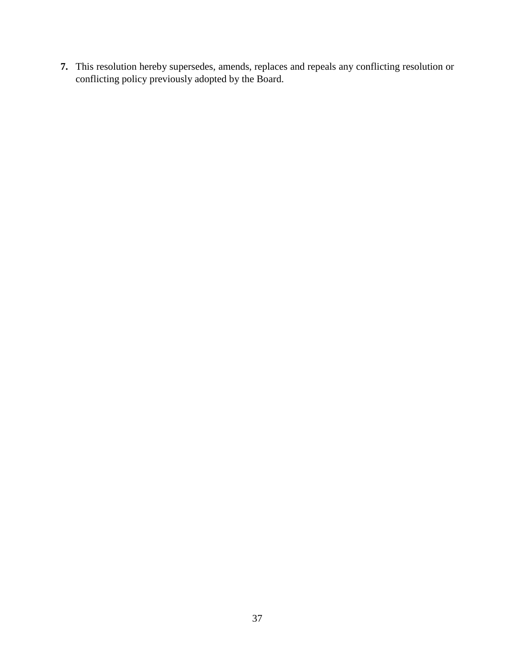**7.** This resolution hereby supersedes, amends, replaces and repeals any conflicting resolution or conflicting policy previously adopted by the Board.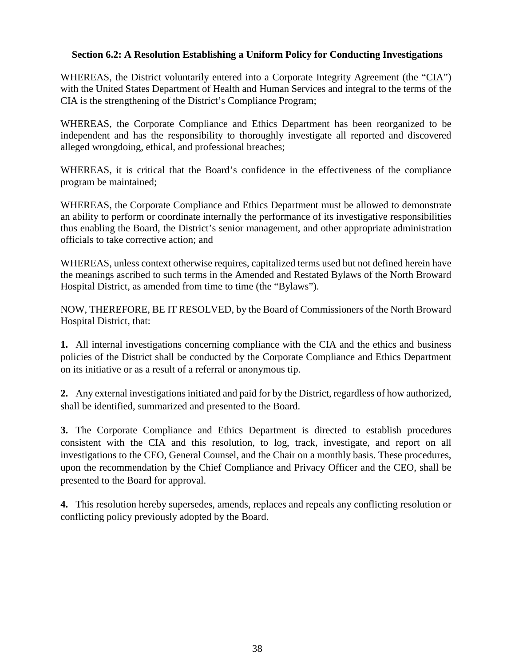# **Section 6.2: A Resolution Establishing a Uniform Policy for Conducting Investigations**

WHEREAS, the District voluntarily entered into a Corporate Integrity Agreement (the "CIA") with the United States Department of Health and Human Services and integral to the terms of the CIA is the strengthening of the District's Compliance Program;

WHEREAS, the Corporate Compliance and Ethics Department has been reorganized to be independent and has the responsibility to thoroughly investigate all reported and discovered alleged wrongdoing, ethical, and professional breaches;

WHEREAS, it is critical that the Board's confidence in the effectiveness of the compliance program be maintained;

WHEREAS, the Corporate Compliance and Ethics Department must be allowed to demonstrate an ability to perform or coordinate internally the performance of its investigative responsibilities thus enabling the Board, the District's senior management, and other appropriate administration officials to take corrective action; and

WHEREAS, unless context otherwise requires, capitalized terms used but not defined herein have the meanings ascribed to such terms in the Amended and Restated Bylaws of the North Broward Hospital District, as amended from time to time (the "Bylaws").

NOW, THEREFORE, BE IT RESOLVED, by the Board of Commissioners of the North Broward Hospital District, that:

**1.** All internal investigations concerning compliance with the CIA and the ethics and business policies of the District shall be conducted by the Corporate Compliance and Ethics Department on its initiative or as a result of a referral or anonymous tip.

**2.** Any external investigations initiated and paid for by the District, regardless of how authorized, shall be identified, summarized and presented to the Board.

**3.** The Corporate Compliance and Ethics Department is directed to establish procedures consistent with the CIA and this resolution, to log, track, investigate, and report on all investigations to the CEO, General Counsel, and the Chair on a monthly basis. These procedures, upon the recommendation by the Chief Compliance and Privacy Officer and the CEO, shall be presented to the Board for approval.

**4.** This resolution hereby supersedes, amends, replaces and repeals any conflicting resolution or conflicting policy previously adopted by the Board.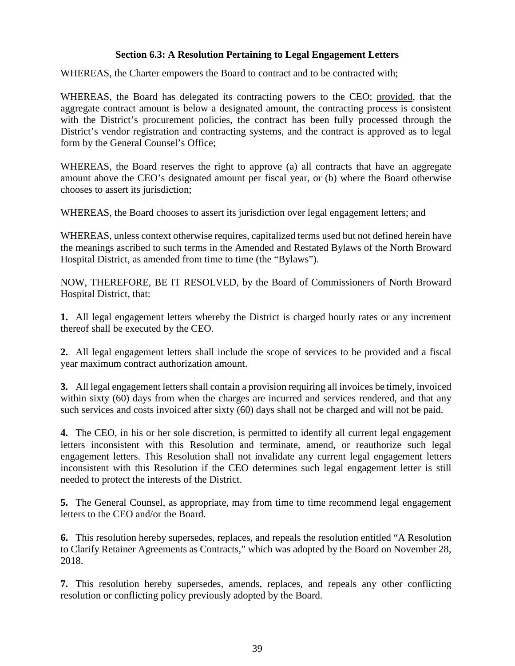# **Section 6.3: A Resolution Pertaining to Legal Engagement Letters**

WHEREAS, the Charter empowers the Board to contract and to be contracted with;

WHEREAS, the Board has delegated its contracting powers to the CEO; provided, that the aggregate contract amount is below a designated amount, the contracting process is consistent with the District's procurement policies, the contract has been fully processed through the District's vendor registration and contracting systems, and the contract is approved as to legal form by the General Counsel's Office;

WHEREAS, the Board reserves the right to approve (a) all contracts that have an aggregate amount above the CEO's designated amount per fiscal year, or (b) where the Board otherwise chooses to assert its jurisdiction;

WHEREAS, the Board chooses to assert its jurisdiction over legal engagement letters; and

WHEREAS, unless context otherwise requires, capitalized terms used but not defined herein have the meanings ascribed to such terms in the Amended and Restated Bylaws of the North Broward Hospital District, as amended from time to time (the "Bylaws").

NOW, THEREFORE, BE IT RESOLVED, by the Board of Commissioners of North Broward Hospital District, that:

**1.** All legal engagement letters whereby the District is charged hourly rates or any increment thereof shall be executed by the CEO.

**2.** All legal engagement letters shall include the scope of services to be provided and a fiscal year maximum contract authorization amount.

**3.** All legal engagement letters shall contain a provision requiring all invoices be timely, invoiced within sixty (60) days from when the charges are incurred and services rendered, and that any such services and costs invoiced after sixty (60) days shall not be charged and will not be paid.

**4.** The CEO, in his or her sole discretion, is permitted to identify all current legal engagement letters inconsistent with this Resolution and terminate, amend, or reauthorize such legal engagement letters. This Resolution shall not invalidate any current legal engagement letters inconsistent with this Resolution if the CEO determines such legal engagement letter is still needed to protect the interests of the District.

**5.** The General Counsel, as appropriate, may from time to time recommend legal engagement letters to the CEO and/or the Board.

**6.** This resolution hereby supersedes, replaces, and repeals the resolution entitled "A Resolution to Clarify Retainer Agreements as Contracts," which was adopted by the Board on November 28, 2018.

**7.** This resolution hereby supersedes, amends, replaces, and repeals any other conflicting resolution or conflicting policy previously adopted by the Board.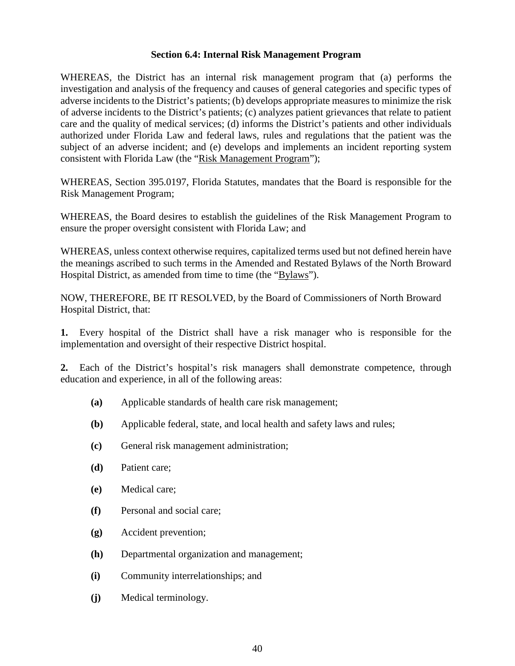#### **Section 6.4: Internal Risk Management Program**

WHEREAS, the District has an internal risk management program that (a) performs the investigation and analysis of the frequency and causes of general categories and specific types of adverse incidents to the District's patients; (b) develops appropriate measures to minimize the risk of adverse incidents to the District's patients; (c) analyzes patient grievances that relate to patient care and the quality of medical services; (d) informs the District's patients and other individuals authorized under Florida Law and federal laws, rules and regulations that the patient was the subject of an adverse incident; and (e) develops and implements an incident reporting system consistent with Florida Law (the "Risk Management Program");

WHEREAS, Section 395.0197, Florida Statutes, mandates that the Board is responsible for the Risk Management Program;

WHEREAS, the Board desires to establish the guidelines of the Risk Management Program to ensure the proper oversight consistent with Florida Law; and

WHEREAS, unless context otherwise requires, capitalized terms used but not defined herein have the meanings ascribed to such terms in the Amended and Restated Bylaws of the North Broward Hospital District, as amended from time to time (the "Bylaws").

NOW, THEREFORE, BE IT RESOLVED, by the Board of Commissioners of North Broward Hospital District, that:

**1.** Every hospital of the District shall have a risk manager who is responsible for the implementation and oversight of their respective District hospital.

**2.** Each of the District's hospital's risk managers shall demonstrate competence, through education and experience, in all of the following areas:

- **(a)** Applicable standards of health care risk management;
- **(b)** Applicable federal, state, and local health and safety laws and rules;
- **(c)** General risk management administration;
- **(d)** Patient care;
- **(e)** Medical care;
- **(f)** Personal and social care;
- **(g)** Accident prevention;
- **(h)** Departmental organization and management;
- **(i)** Community interrelationships; and
- **(j)** Medical terminology.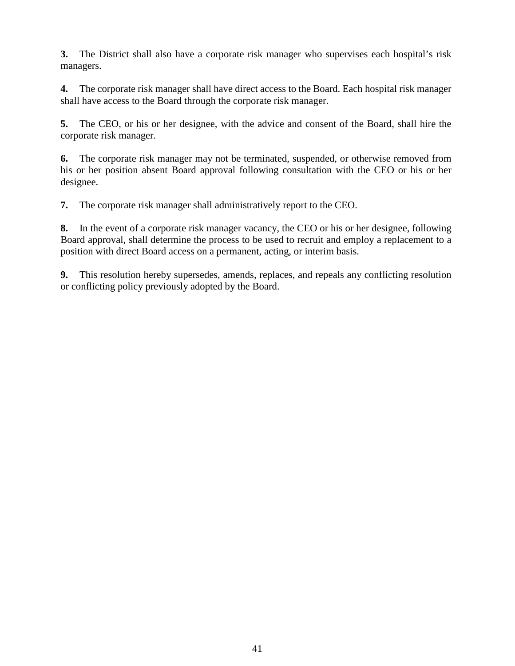**3.** The District shall also have a corporate risk manager who supervises each hospital's risk managers.

**4.** The corporate risk manager shall have direct access to the Board. Each hospital risk manager shall have access to the Board through the corporate risk manager.

**5.** The CEO, or his or her designee, with the advice and consent of the Board, shall hire the corporate risk manager.

**6.** The corporate risk manager may not be terminated, suspended, or otherwise removed from his or her position absent Board approval following consultation with the CEO or his or her designee.

**7.** The corporate risk manager shall administratively report to the CEO.

**8.** In the event of a corporate risk manager vacancy, the CEO or his or her designee, following Board approval, shall determine the process to be used to recruit and employ a replacement to a position with direct Board access on a permanent, acting, or interim basis.

**9.** This resolution hereby supersedes, amends, replaces, and repeals any conflicting resolution or conflicting policy previously adopted by the Board.